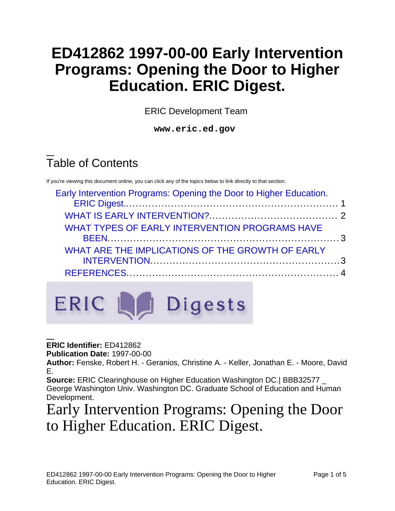# **ED412862 1997-00-00 Early Intervention Programs: Opening the Door to Higher Education. ERIC Digest.**

ERIC Development Team

**www.eric.ed.gov**

# Table of Contents

If you're viewing this document online, you can click any of the topics below to link directly to that section.

| Early Intervention Programs: Opening the Door to Higher Education. |  |
|--------------------------------------------------------------------|--|
|                                                                    |  |
| <b>WHAT TYPES OF EARLY INTERVENTION PROGRAMS HAVE</b>              |  |
| WHAT ARE THE IMPLICATIONS OF THE GROWTH OF EARLY                   |  |
|                                                                    |  |



**ERIC Identifier:** ED412862

**Publication Date:** 1997-00-00

**Author:** Fenske, Robert H. - Geranios, Christine A. - Keller, Jonathan E. - Moore, David E.

**Source:** ERIC Clearinghouse on Higher Education Washington DC.| BBB32577 \_ George Washington Univ. Washington DC. Graduate School of Education and Human Development.

# <span id="page-0-0"></span>Early Intervention Programs: Opening the Door to Higher Education. ERIC Digest.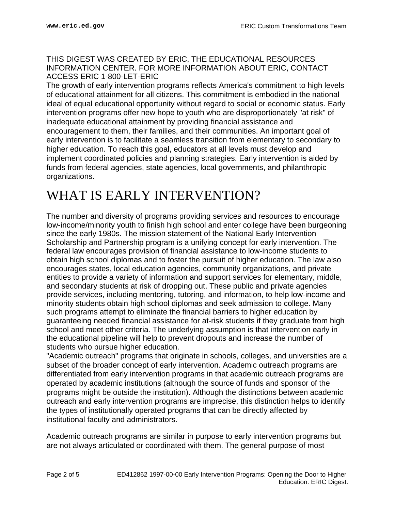#### THIS DIGEST WAS CREATED BY ERIC, THE EDUCATIONAL RESOURCES INFORMATION CENTER. FOR MORE INFORMATION ABOUT ERIC, CONTACT ACCESS ERIC 1-800-LET-ERIC

The growth of early intervention programs reflects America's commitment to high levels of educational attainment for all citizens. This commitment is embodied in the national ideal of equal educational opportunity without regard to social or economic status. Early intervention programs offer new hope to youth who are disproportionately "at risk" of inadequate educational attainment by providing financial assistance and encouragement to them, their families, and their communities. An important goal of early intervention is to facilitate a seamless transition from elementary to secondary to higher education. To reach this goal, educators at all levels must develop and implement coordinated policies and planning strategies. Early intervention is aided by funds from federal agencies, state agencies, local governments, and philanthropic organizations.

### <span id="page-1-0"></span>WHAT IS EARLY INTERVENTION?

The number and diversity of programs providing services and resources to encourage low-income/minority youth to finish high school and enter college have been burgeoning since the early 1980s. The mission statement of the National Early Intervention Scholarship and Partnership program is a unifying concept for early intervention. The federal law encourages provision of financial assistance to low-income students to obtain high school diplomas and to foster the pursuit of higher education. The law also encourages states, local education agencies, community organizations, and private entities to provide a variety of information and support services for elementary, middle, and secondary students at risk of dropping out. These public and private agencies provide services, including mentoring, tutoring, and information, to help low-income and minority students obtain high school diplomas and seek admission to college. Many such programs attempt to eliminate the financial barriers to higher education by guaranteeing needed financial assistance for at-risk students if they graduate from high school and meet other criteria. The underlying assumption is that intervention early in the educational pipeline will help to prevent dropouts and increase the number of students who pursue higher education.

"Academic outreach" programs that originate in schools, colleges, and universities are a subset of the broader concept of early intervention. Academic outreach programs are differentiated from early intervention programs in that academic outreach programs are operated by academic institutions (although the source of funds and sponsor of the programs might be outside the institution). Although the distinctions between academic outreach and early intervention programs are imprecise, this distinction helps to identify the types of institutionally operated programs that can be directly affected by institutional faculty and administrators.

Academic outreach programs are similar in purpose to early intervention programs but are not always articulated or coordinated with them. The general purpose of most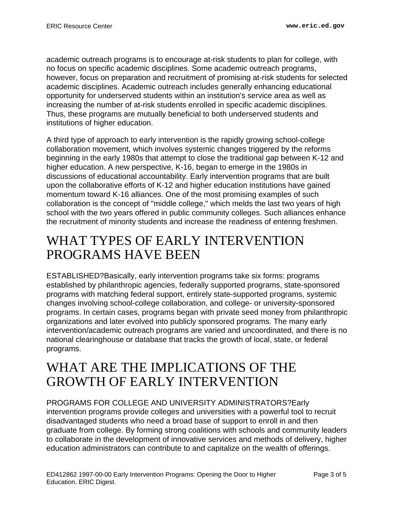academic outreach programs is to encourage at-risk students to plan for college, with no focus on specific academic disciplines. Some academic outreach programs, however, focus on preparation and recruitment of promising at-risk students for selected academic disciplines. Academic outreach includes generally enhancing educational opportunity for underserved students within an institution's service area as well as increasing the number of at-risk students enrolled in specific academic disciplines. Thus, these programs are mutually beneficial to both underserved students and institutions of higher education.

A third type of approach to early intervention is the rapidly growing school-college collaboration movement, which involves systemic changes triggered by the reforms beginning in the early 1980s that attempt to close the traditional gap between K-12 and higher education. A new perspective, K-16, began to emerge in the 1980s in discussions of educational accountability. Early intervention programs that are built upon the collaborative efforts of K-12 and higher education institutions have gained momentum toward K-16 alliances. One of the most promising examples of such collaboration is the concept of "middle college," which melds the last two years of high school with the two years offered in public community colleges. Such alliances enhance the recruitment of minority students and increase the readiness of entering freshmen.

## <span id="page-2-0"></span>WHAT TYPES OF EARLY INTERVENTION PROGRAMS HAVE BEEN

ESTABLISHED?Basically, early intervention programs take six forms: programs established by philanthropic agencies, federally supported programs, state-sponsored programs with matching federal support, entirely state-supported programs, systemic changes involving school-college collaboration, and college- or university-sponsored programs. In certain cases, programs began with private seed money from philanthropic organizations and later evolved into publicly sponsored programs. The many early intervention/academic outreach programs are varied and uncoordinated, and there is no national clearinghouse or database that tracks the growth of local, state, or federal programs.

## <span id="page-2-1"></span>WHAT ARE THE IMPLICATIONS OF THE GROWTH OF EARLY INTERVENTION

PROGRAMS FOR COLLEGE AND UNIVERSITY ADMINISTRATORS?Early intervention programs provide colleges and universities with a powerful tool to recruit disadvantaged students who need a broad base of support to enroll in and then graduate from college. By forming strong coalitions with schools and community leaders to collaborate in the development of innovative services and methods of delivery, higher education administrators can contribute to and capitalize on the wealth of offerings.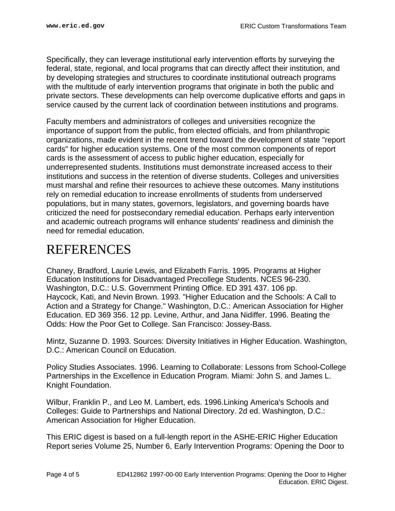Specifically, they can leverage institutional early intervention efforts by surveying the federal, state, regional, and local programs that can directly affect their institution, and by developing strategies and structures to coordinate institutional outreach programs with the multitude of early intervention programs that originate in both the public and private sectors. These developments can help overcome duplicative efforts and gaps in service caused by the current lack of coordination between institutions and programs.

Faculty members and administrators of colleges and universities recognize the importance of support from the public, from elected officials, and from philanthropic organizations, made evident in the recent trend toward the development of state "report cards" for higher education systems. One of the most common components of report cards is the assessment of access to public higher education, especially for underrepresented students. Institutions must demonstrate increased access to their institutions and success in the retention of diverse students. Colleges and universities must marshal and refine their resources to achieve these outcomes. Many institutions rely on remedial education to increase enrollments of students from underserved populations, but in many states, governors, legislators, and governing boards have criticized the need for postsecondary remedial education. Perhaps early intervention and academic outreach programs will enhance students' readiness and diminish the need for remedial education.

### <span id="page-3-0"></span>**REFERENCES**

Chaney, Bradford, Laurie Lewis, and Elizabeth Farris. 1995. Programs at Higher Education Institutions for Disadvantaged Precollege Students. NCES 96-230. Washington, D.C.: U.S. Government Printing Office. ED 391 437. 106 pp. Haycock, Kati, and Nevin Brown. 1993. "Higher Education and the Schools: A Call to Action and a Strategy for Change." Washington, D.C.: American Association for Higher Education. ED 369 356. 12 pp. Levine, Arthur, and Jana Nidiffer. 1996. Beating the Odds: How the Poor Get to College. San Francisco: Jossey-Bass.

Mintz, Suzanne D. 1993. Sources: Diversity Initiatives in Higher Education. Washington, D.C.: American Council on Education.

Policy Studies Associates. 1996. Learning to Collaborate: Lessons from School-College Partnerships in the Excellence in Education Program. Miami: John S. and James L. Knight Foundation.

Wilbur, Franklin P., and Leo M. Lambert, eds. 1996.Linking America's Schools and Colleges: Guide to Partnerships and National Directory. 2d ed. Washington, D.C.: American Association for Higher Education.

This ERIC digest is based on a full-length report in the ASHE-ERIC Higher Education Report series Volume 25, Number 6, Early Intervention Programs: Opening the Door to